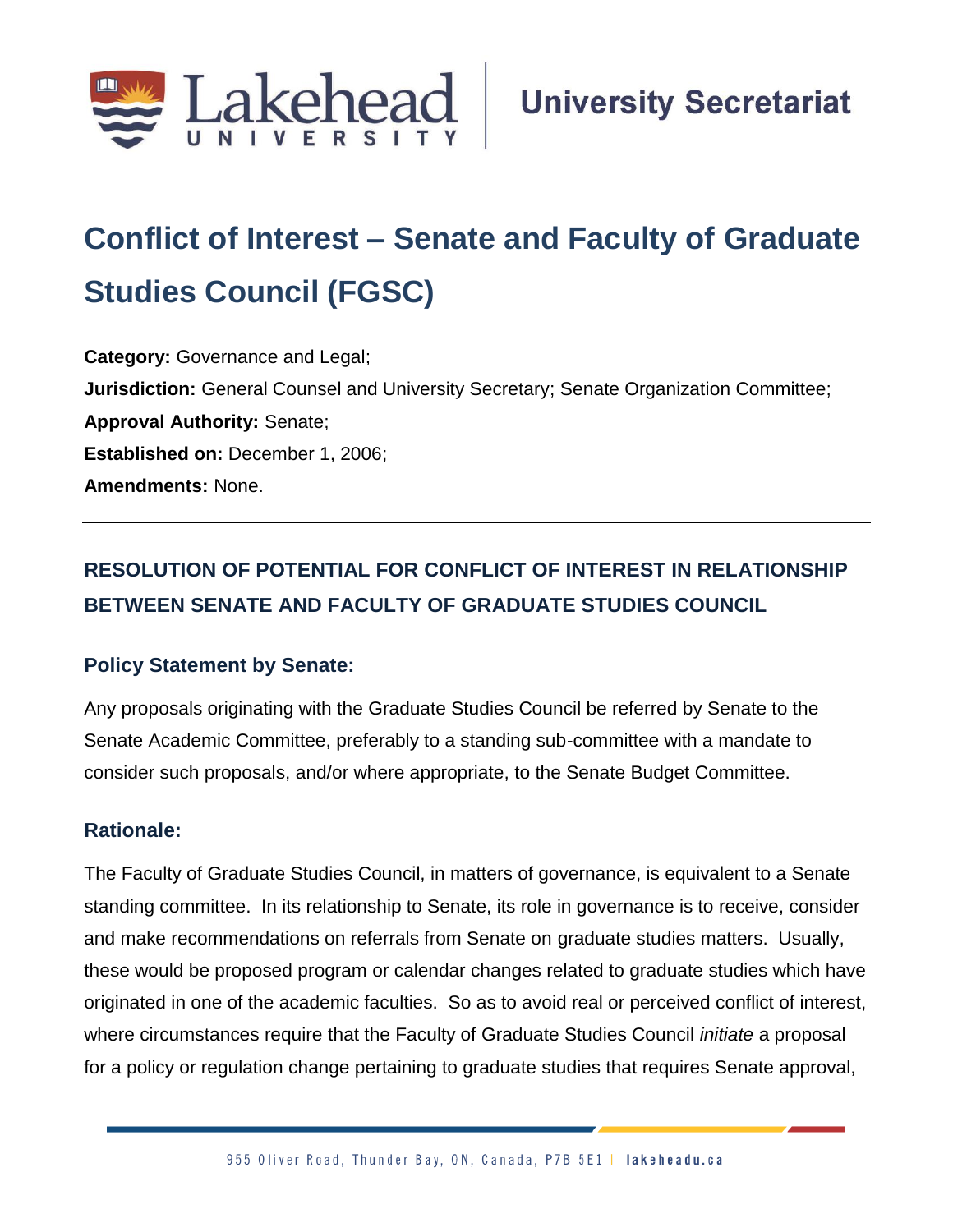

## **Conflict of Interest – Senate and Faculty of Graduate Studies Council (FGSC)**

**Category:** Governance and Legal; **Jurisdiction:** General Counsel and University Secretary; Senate Organization Committee; **Approval Authority:** Senate; **Established on:** December 1, 2006; **Amendments:** None.

## **RESOLUTION OF POTENTIAL FOR CONFLICT OF INTEREST IN RELATIONSHIP BETWEEN SENATE AND FACULTY OF GRADUATE STUDIES COUNCIL**

## **Policy Statement by Senate:**

Any proposals originating with the Graduate Studies Council be referred by Senate to the Senate Academic Committee, preferably to a standing sub-committee with a mandate to consider such proposals, and/or where appropriate, to the Senate Budget Committee.

## **Rationale:**

The Faculty of Graduate Studies Council, in matters of governance, is equivalent to a Senate standing committee. In its relationship to Senate, its role in governance is to receive, consider and make recommendations on referrals from Senate on graduate studies matters. Usually, these would be proposed program or calendar changes related to graduate studies which have originated in one of the academic faculties. So as to avoid real or perceived conflict of interest, where circumstances require that the Faculty of Graduate Studies Council *initiate* a proposal for a policy or regulation change pertaining to graduate studies that requires Senate approval,